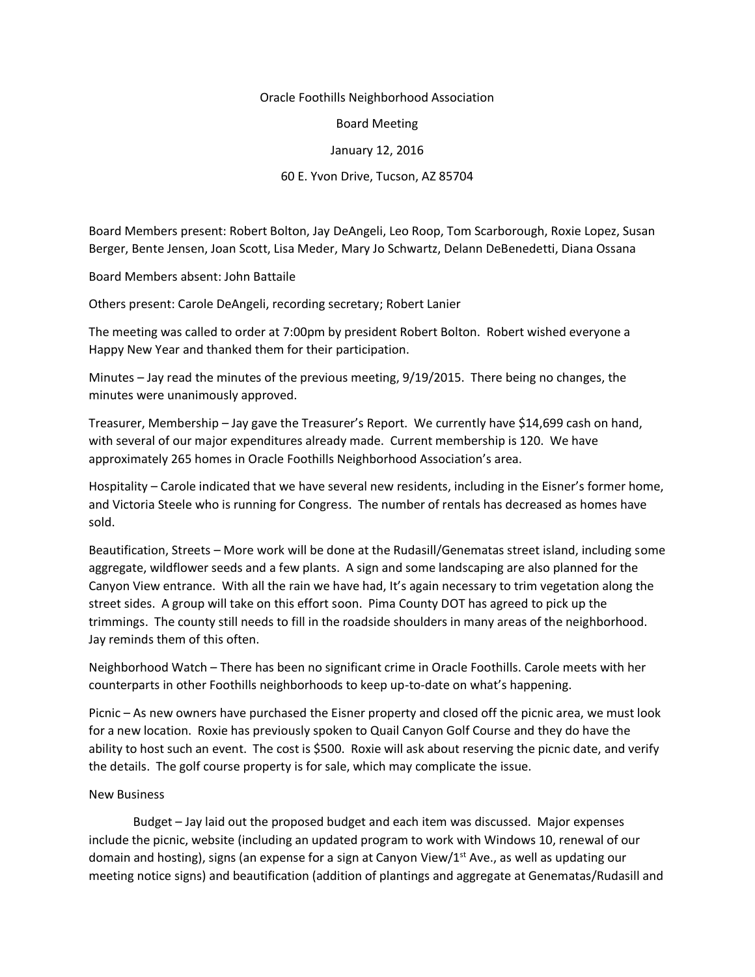## Oracle Foothills Neighborhood Association

Board Meeting

## January 12, 2016

## 60 E. Yvon Drive, Tucson, AZ 85704

Board Members present: Robert Bolton, Jay DeAngeli, Leo Roop, Tom Scarborough, Roxie Lopez, Susan Berger, Bente Jensen, Joan Scott, Lisa Meder, Mary Jo Schwartz, Delann DeBenedetti, Diana Ossana

Board Members absent: John Battaile

Others present: Carole DeAngeli, recording secretary; Robert Lanier

The meeting was called to order at 7:00pm by president Robert Bolton. Robert wished everyone a Happy New Year and thanked them for their participation.

Minutes – Jay read the minutes of the previous meeting, 9/19/2015. There being no changes, the minutes were unanimously approved.

Treasurer, Membership – Jay gave the Treasurer's Report. We currently have \$14,699 cash on hand, with several of our major expenditures already made. Current membership is 120. We have approximately 265 homes in Oracle Foothills Neighborhood Association's area.

Hospitality – Carole indicated that we have several new residents, including in the Eisner's former home, and Victoria Steele who is running for Congress. The number of rentals has decreased as homes have sold.

Beautification, Streets – More work will be done at the Rudasill/Genematas street island, including some aggregate, wildflower seeds and a few plants. A sign and some landscaping are also planned for the Canyon View entrance. With all the rain we have had, It's again necessary to trim vegetation along the street sides. A group will take on this effort soon. Pima County DOT has agreed to pick up the trimmings. The county still needs to fill in the roadside shoulders in many areas of the neighborhood. Jay reminds them of this often.

Neighborhood Watch – There has been no significant crime in Oracle Foothills. Carole meets with her counterparts in other Foothills neighborhoods to keep up-to-date on what's happening.

Picnic – As new owners have purchased the Eisner property and closed off the picnic area, we must look for a new location. Roxie has previously spoken to Quail Canyon Golf Course and they do have the ability to host such an event. The cost is \$500. Roxie will ask about reserving the picnic date, and verify the details. The golf course property is for sale, which may complicate the issue.

## New Business

Budget – Jay laid out the proposed budget and each item was discussed. Major expenses include the picnic, website (including an updated program to work with Windows 10, renewal of our domain and hosting), signs (an expense for a sign at Canyon View/ $1^{st}$  Ave., as well as updating our meeting notice signs) and beautification (addition of plantings and aggregate at Genematas/Rudasill and